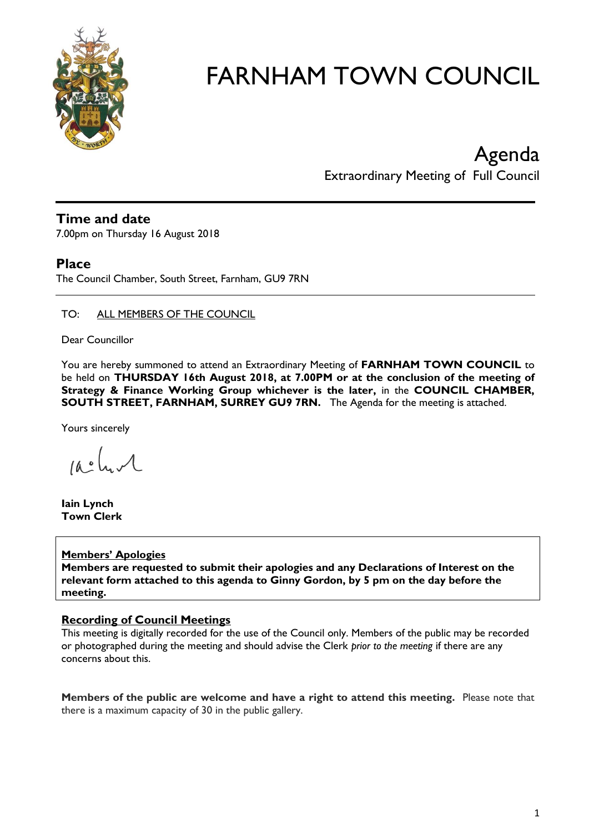

Agenda Extraordinary Meeting of Full Council

# **Time and date**

7.00pm on Thursday 16 August 2018

# **Place**

The Council Chamber, South Street, Farnham, GU9 7RN

# TO: ALL MEMBERS OF THE COUNCIL

Dear Councillor

You are hereby summoned to attend an Extraordinary Meeting of **FARNHAM TOWN COUNCIL** to be held on **THURSDAY 16th August 2018, at 7.00PM or at the conclusion of the meeting of Strategy & Finance Working Group whichever is the later,** in the **COUNCIL CHAMBER, SOUTH STREET, FARNHAM, SURREY GU9 7RN.** The Agenda for the meeting is attached.

Yours sincerely

 $10.0$ 

**Iain Lynch Town Clerk**

# **Members' Apologies**

**Members are requested to submit their apologies and any Declarations of Interest on the relevant form attached to this agenda to Ginny Gordon, by 5 pm on the day before the meeting.**

# **Recording of Council Meetings**

This meeting is digitally recorded for the use of the Council only. Members of the public may be recorded or photographed during the meeting and should advise the Clerk *prior to the meeting* if there are any concerns about this.

**Members of the public are welcome and have a right to attend this meeting.** Please note that there is a maximum capacity of 30 in the public gallery.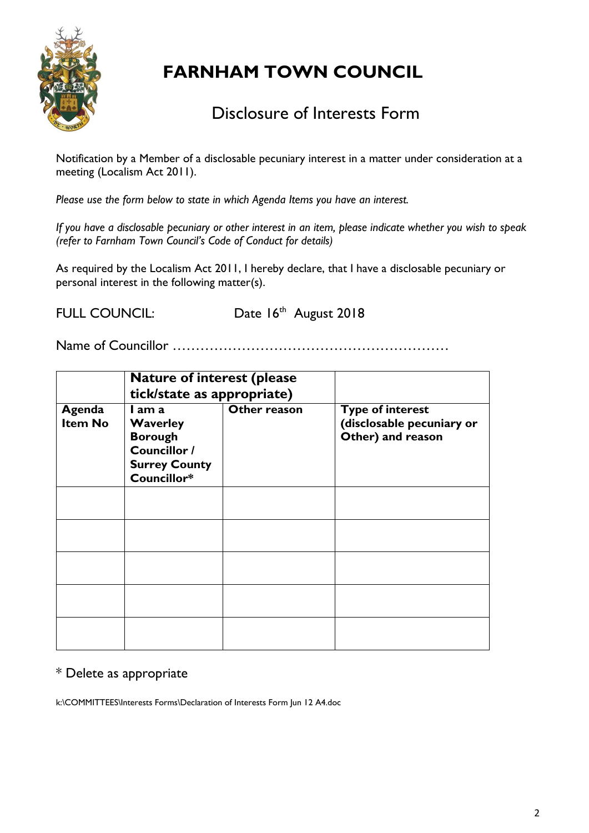

# Disclosure of Interests Form

Notification by a Member of a disclosable pecuniary interest in a matter under consideration at a meeting (Localism Act 2011).

*Please use the form below to state in which Agenda Items you have an interest.* 

*If you have a disclosable pecuniary or other interest in an item, please indicate whether you wish to speak (refer to Farnham Town Council's Code of Conduct for details)*

As required by the Localism Act 2011, I hereby declare, that I have a disclosable pecuniary or personal interest in the following matter(s).

FULL COUNCIL: Date 16th August 2018

Name of Councillor ……………………………………………………

|                          | <b>Nature of interest (please)</b><br>tick/state as appropriate)                                   |              |                                                                           |
|--------------------------|----------------------------------------------------------------------------------------------------|--------------|---------------------------------------------------------------------------|
| Agenda<br><b>Item No</b> | I am a<br><b>Waverley</b><br><b>Borough</b><br>Councillor /<br><b>Surrey County</b><br>Councillor* | Other reason | <b>Type of interest</b><br>(disclosable pecuniary or<br>Other) and reason |
|                          |                                                                                                    |              |                                                                           |
|                          |                                                                                                    |              |                                                                           |
|                          |                                                                                                    |              |                                                                           |
|                          |                                                                                                    |              |                                                                           |
|                          |                                                                                                    |              |                                                                           |

# \* Delete as appropriate

k:\COMMITTEES\Interests Forms\Declaration of Interests Form Jun 12 A4.doc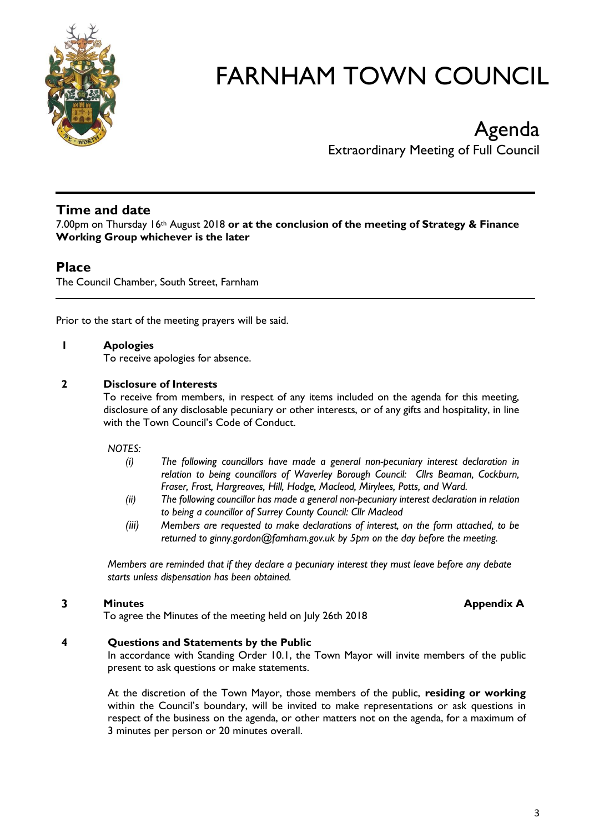

# Agenda Extraordinary Meeting of Full Council

# **Time and date**

7.00pm on Thursday 16th August 2018 **or at the conclusion of the meeting of Strategy & Finance Working Group whichever is the later**

# **Place**

The Council Chamber, South Street, Farnham

Prior to the start of the meeting prayers will be said.

# **1 Apologies**

To receive apologies for absence.

#### **2 Disclosure of Interests**

To receive from members, in respect of any items included on the agenda for this meeting, disclosure of any disclosable pecuniary or other interests, or of any gifts and hospitality, in line with the Town Council's Code of Conduct.

#### *NOTES:*

- *(i) The following councillors have made a general non-pecuniary interest declaration in relation to being councillors of Waverley Borough Council: Cllrs Beaman, Cockburn, Fraser, Frost, Hargreaves, Hill, Hodge, Macleod, Mirylees, Potts, and Ward.*
- *(ii) The following councillor has made a general non-pecuniary interest declaration in relation to being a councillor of Surrey County Council: Cllr Macleod*
- *(iii) Members are requested to make declarations of interest, on the form attached, to be returned to ginny.gordon@farnham.gov.uk by 5pm on the day before the meeting.*

*Members are reminded that if they declare a pecuniary interest they must leave before any debate starts unless dispensation has been obtained.*

#### **3 Minutes Minutes Minutes Appendix A**

To agree the Minutes of the meeting held on July 26th 2018

#### **4 Questions and Statements by the Public**

In accordance with Standing Order 10.1, the Town Mayor will invite members of the public present to ask questions or make statements.

At the discretion of the Town Mayor, those members of the public, **residing or working** within the Council's boundary, will be invited to make representations or ask questions in respect of the business on the agenda, or other matters not on the agenda, for a maximum of 3 minutes per person or 20 minutes overall.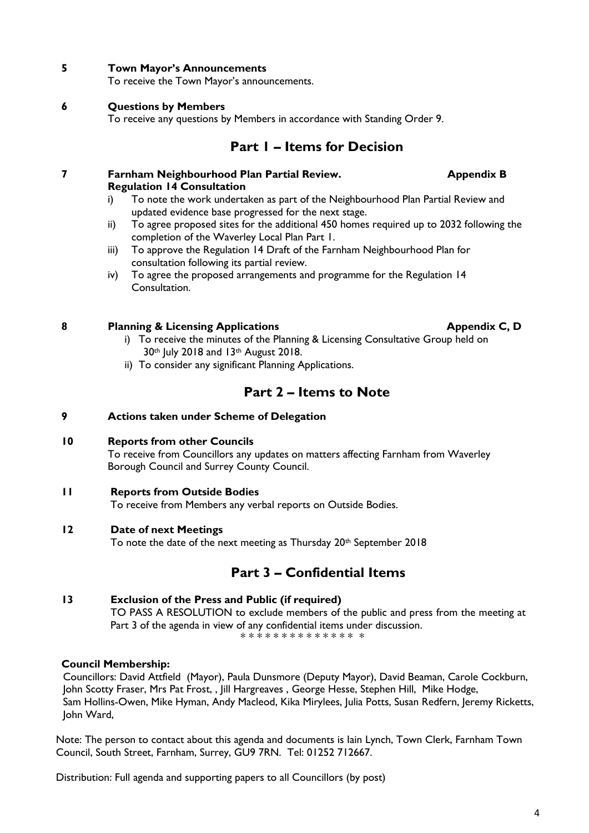Distribution: Full agenda and supporting papers to all Councillors (by post)

#### **5 Town Mayor's Announcements**

To receive the Town Mayor's announcements.

#### **6 Questions by Members**

To receive any questions by Members in accordance with Standing Order 9.

# **Part 1 – Items for Decision**

- **7 Farnham Neighbourhood Plan Partial Review. Appendix B Regulation 14 Consultation**
	- i) To note the work undertaken as part of the Neighbourhood Plan Partial Review and updated evidence base progressed for the next stage.
	- ii) To agree proposed sites for the additional 450 homes required up to 2032 following the completion of the Waverley Local Plan Part 1.
	- iii) To approve the Regulation 14 Draft of the Farnham Neighbourhood Plan for consultation following its partial review.
	- iv) To agree the proposed arrangements and programme for the Regulation 14 Consultation.

# **8 Planning & Licensing Applications Appendix C, D**

- i) To receive the minutes of the Planning & Licensing Consultative Group held on 30<sup>th</sup> July 2018 and 13<sup>th</sup> August 2018.
- ii) To consider any significant Planning Applications.

# **Part 2 – Items to Note**

#### **9 Actions taken under Scheme of Delegation**

**10 Reports from other Councils**

To receive from Councillors any updates on matters affecting Farnham from Waverley Borough Council and Surrey County Council.

**11 Reports from Outside Bodies**

To receive from Members any verbal reports on Outside Bodies.

# **12 Date of next Meetings**

To note the date of the next meeting as Thursday 20<sup>th</sup> September 2018

# **Part 3 – Confidential Items**

**13 Exclusion of the Press and Public (if required)** TO PASS A RESOLUTION to exclude members of the public and press from the meeting at Part 3 of the agenda in view of any confidential items under discussion. \* \* \* \* \* \* \* \* \* \* \* \* \* \* \*

# **Council Membership:**

Councillors: David Attfield (Mayor), Paula Dunsmore (Deputy Mayor), David Beaman, Carole Cockburn, John Scotty Fraser, Mrs Pat Frost, , Jill Hargreaves, George Hesse, Stephen Hill, Mike Hodge, Sam Hollins-Owen, Mike Hyman, Andy Macleod, Kika Mirylees, Julia Potts, Susan Redfern, Jeremy Ricketts, John Ward,

Note: The person to contact about this agenda and documents is Iain Lynch, Town Clerk, Farnham Town Council, South Street, Farnham, Surrey, GU9 7RN. Tel: 01252 712667.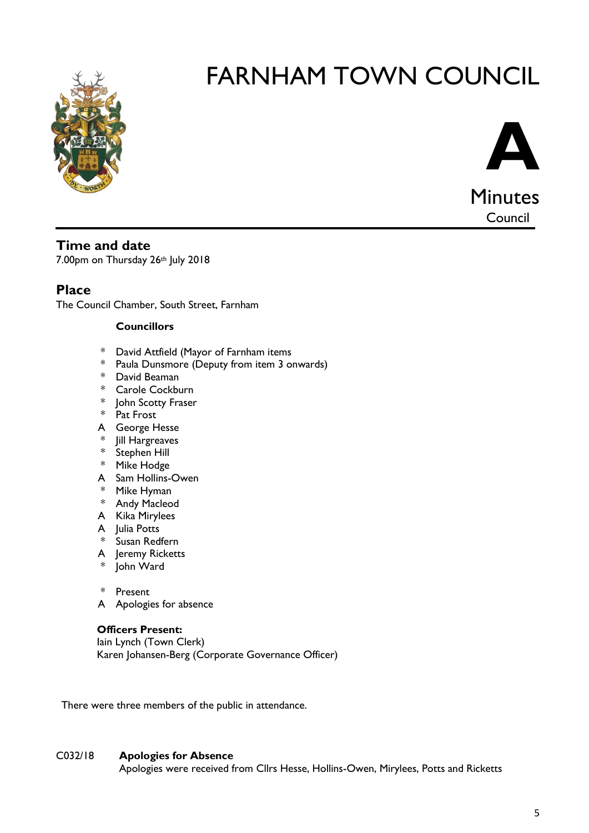



# **Time and date**

7.00pm on Thursday 26th July 2018

# **Place**

The Council Chamber, South Street, Farnham

# **Councillors**

- \* David Attfield (Mayor of Farnham items
- \* Paula Dunsmore (Deputy from item 3 onwards)
- \* David Beaman
- \* Carole Cockburn
- \* John Scotty Fraser
- \* Pat Frost
- A George Hesse
- \* Jill Hargreaves
- \* Stephen Hill
- \* Mike Hodge
- A Sam Hollins-Owen
- \* Mike Hyman
- \* Andy Macleod
- A Kika Mirylees
- A Julia Potts
- \* Susan Redfern
- A Jeremy Ricketts
- John Ward

\* Present

A Apologies for absence

# **Officers Present:**

Iain Lynch (Town Clerk) Karen Johansen-Berg (Corporate Governance Officer)

There were three members of the public in attendance.

# C032/18 **Apologies for Absence**

Apologies were received from Cllrs Hesse, Hollins-Owen, Mirylees, Potts and Ricketts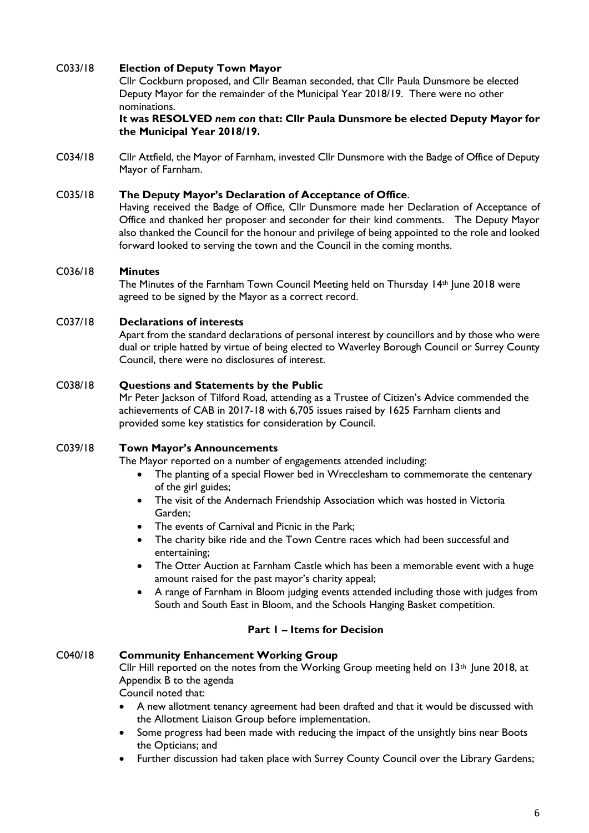# C033/18 **Election of Deputy Town Mayor**

Cllr Cockburn proposed, and Cllr Beaman seconded, that Cllr Paula Dunsmore be elected Deputy Mayor for the remainder of the Municipal Year 2018/19. There were no other nominations.

**It was RESOLVED** *nem con* **that: Cllr Paula Dunsmore be elected Deputy Mayor for the Municipal Year 2018/19.** 

C034/18 Cllr Attfield, the Mayor of Farnham, invested Cllr Dunsmore with the Badge of Office of Deputy Mayor of Farnham.

## C035/18 **The Deputy Mayor's Declaration of Acceptance of Office**.

Having received the Badge of Office, Cllr Dunsmore made her Declaration of Acceptance of Office and thanked her proposer and seconder for their kind comments. The Deputy Mayor also thanked the Council for the honour and privilege of being appointed to the role and looked forward looked to serving the town and the Council in the coming months.

#### C036/18 **Minutes**

The Minutes of the Farnham Town Council Meeting held on Thursday 14<sup>th</sup> June 2018 were agreed to be signed by the Mayor as a correct record.

#### C037/18 **Declarations of interests**

Apart from the standard declarations of personal interest by councillors and by those who were dual or triple hatted by virtue of being elected to Waverley Borough Council or Surrey County Council, there were no disclosures of interest.

#### C038/18 **Questions and Statements by the Public**

Mr Peter Jackson of Tilford Road, attending as a Trustee of Citizen's Advice commended the achievements of CAB in 2017-18 with 6,705 issues raised by 1625 Farnham clients and provided some key statistics for consideration by Council.

#### C039/18 **Town Mayor's Announcements**

The Mayor reported on a number of engagements attended including:

- The planting of a special Flower bed in Wrecclesham to commemorate the centenary of the girl guides;
- The visit of the Andernach Friendship Association which was hosted in Victoria Garden;
- The events of Carnival and Picnic in the Park;
- The charity bike ride and the Town Centre races which had been successful and entertaining;
- The Otter Auction at Farnham Castle which has been a memorable event with a huge amount raised for the past mayor's charity appeal;
- A range of Farnham in Bloom judging events attended including those with judges from South and South East in Bloom, and the Schools Hanging Basket competition.

# **Part 1 – Items for Decision**

#### C040/18 **Community Enhancement Working Group**

Cllr Hill reported on the notes from the Working Group meeting held on  $13<sup>th</sup>$  June 2018, at Appendix B to the agenda

Council noted that:

- A new allotment tenancy agreement had been drafted and that it would be discussed with the Allotment Liaison Group before implementation.
- Some progress had been made with reducing the impact of the unsightly bins near Boots the Opticians; and
- Further discussion had taken place with Surrey County Council over the Library Gardens;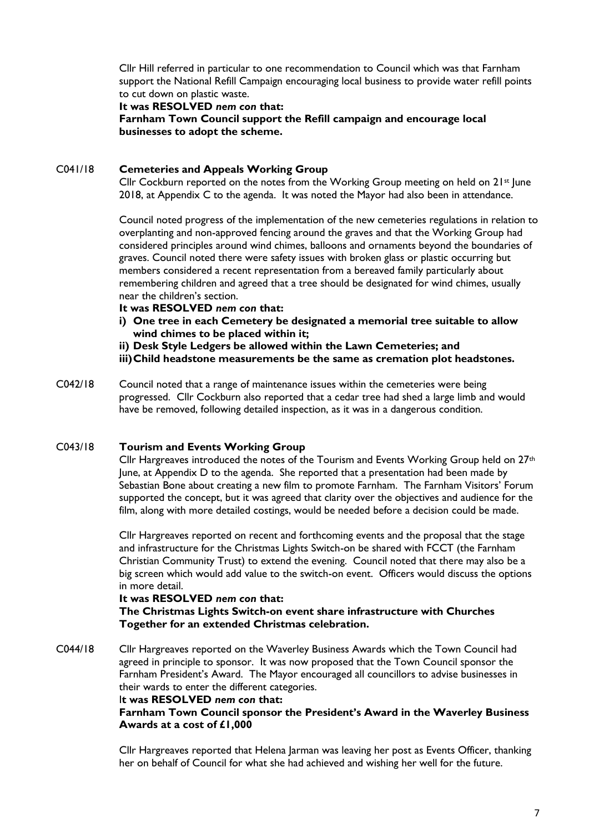Cllr Hill referred in particular to one recommendation to Council which was that Farnham support the National Refill Campaign encouraging local business to provide water refill points to cut down on plastic waste.

#### **It was RESOLVED** *nem con* **that:**

**Farnham Town Council support the Refill campaign and encourage local businesses to adopt the scheme.**

#### C041/18 **Cemeteries and Appeals Working Group**

Cllr Cockburn reported on the notes from the Working Group meeting on held on  $21^{st}$  lune 2018, at Appendix C to the agenda. It was noted the Mayor had also been in attendance.

Council noted progress of the implementation of the new cemeteries regulations in relation to overplanting and non-approved fencing around the graves and that the Working Group had considered principles around wind chimes, balloons and ornaments beyond the boundaries of graves. Council noted there were safety issues with broken glass or plastic occurring but members considered a recent representation from a bereaved family particularly about remembering children and agreed that a tree should be designated for wind chimes, usually near the children's section.

- **It was RESOLVED** *nem con* **that:**
- **i) One tree in each Cemetery be designated a memorial tree suitable to allow wind chimes to be placed within it;**
- **ii) Desk Style Ledgers be allowed within the Lawn Cemeteries; and**

**iii)Child headstone measurements be the same as cremation plot headstones.**

C042/18 Council noted that a range of maintenance issues within the cemeteries were being progressed. Cllr Cockburn also reported that a cedar tree had shed a large limb and would have be removed, following detailed inspection, as it was in a dangerous condition.

# C043/18 **Tourism and Events Working Group**

Cllr Hargreaves introduced the notes of the Tourism and Events Working Group held on 27<sup>th</sup> June, at Appendix D to the agenda. She reported that a presentation had been made by Sebastian Bone about creating a new film to promote Farnham. The Farnham Visitors' Forum supported the concept, but it was agreed that clarity over the objectives and audience for the film, along with more detailed costings, would be needed before a decision could be made.

Cllr Hargreaves reported on recent and forthcoming events and the proposal that the stage and infrastructure for the Christmas Lights Switch-on be shared with FCCT (the Farnham Christian Community Trust) to extend the evening. Council noted that there may also be a big screen which would add value to the switch-on event. Officers would discuss the options in more detail.

#### **It was RESOLVED** *nem con* **that:**

**The Christmas Lights Switch-on event share infrastructure with Churches Together for an extended Christmas celebration.**

C044/18 Cllr Hargreaves reported on the Waverley Business Awards which the Town Council had agreed in principle to sponsor. It was now proposed that the Town Council sponsor the Farnham President's Award. The Mayor encouraged all councillors to advise businesses in their wards to enter the different categories.

#### I**t was RESOLVED** *nem con* **that:**

**Farnham Town Council sponsor the President's Award in the Waverley Business Awards at a cost of £1,000**

Cllr Hargreaves reported that Helena Jarman was leaving her post as Events Officer, thanking her on behalf of Council for what she had achieved and wishing her well for the future.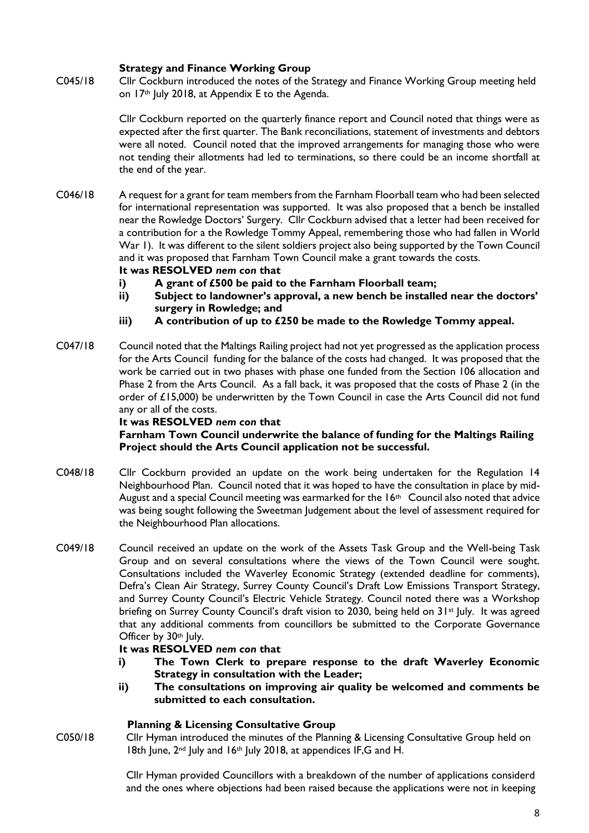# **Strategy and Finance Working Group**

C045/18 Cllr Cockburn introduced the notes of the Strategy and Finance Working Group meeting held on 17<sup>th</sup> July 2018, at Appendix E to the Agenda.

> Cllr Cockburn reported on the quarterly finance report and Council noted that things were as expected after the first quarter. The Bank reconciliations, statement of investments and debtors were all noted. Council noted that the improved arrangements for managing those who were not tending their allotments had led to terminations, so there could be an income shortfall at the end of the year.

C046/18 A request for a grant for team members from the Farnham Floorball team who had been selected for international representation was supported. It was also proposed that a bench be installed near the Rowledge Doctors' Surgery. Cllr Cockburn advised that a letter had been received for a contribution for a the Rowledge Tommy Appeal, remembering those who had fallen in World War 1). It was different to the silent soldiers project also being supported by the Town Council and it was proposed that Farnham Town Council make a grant towards the costs.

#### **It was RESOLVED** *nem con* **that**

- **i) A grant of £500 be paid to the Farnham Floorball team;**
- **ii) Subject to landowner's approval, a new bench be installed near the doctors' surgery in Rowledge; and**
- **iii) A contribution of up to £250 be made to the Rowledge Tommy appeal.**
- C047/18 Council noted that the Maltings Railing project had not yet progressed as the application process for the Arts Council funding for the balance of the costs had changed. It was proposed that the work be carried out in two phases with phase one funded from the Section 106 allocation and Phase 2 from the Arts Council. As a fall back, it was proposed that the costs of Phase 2 (in the order of £15,000) be underwritten by the Town Council in case the Arts Council did not fund any or all of the costs.

#### **It was RESOLVED** *nem con* **that**

**Farnham Town Council underwrite the balance of funding for the Maltings Railing Project should the Arts Council application not be successful.**

- C048/18 Cllr Cockburn provided an update on the work being undertaken for the Regulation 14 Neighbourhood Plan. Council noted that it was hoped to have the consultation in place by mid-August and a special Council meeting was earmarked for the  $16<sup>th</sup>$  Council also noted that advice was being sought following the Sweetman Judgement about the level of assessment required for the Neighbourhood Plan allocations.
- C049/18 Council received an update on the work of the Assets Task Group and the Well-being Task Group and on several consultations where the views of the Town Council were sought. Consultations included the Waverley Economic Strategy (extended deadline for comments), Defra's Clean Air Strategy, Surrey County Council's Draft Low Emissions Transport Strategy, and Surrey County Council's Electric Vehicle Strategy. Council noted there was a Workshop briefing on Surrey County Council's draft vision to 2030, being held on 31<sup>st</sup> July. It was agreed that any additional comments from councillors be submitted to the Corporate Governance Officer by 30<sup>th</sup> July.

#### **It was RESOLVED** *nem con* **that**

- **i) The Town Clerk to prepare response to the draft Waverley Economic Strategy in consultation with the Leader;**
- **ii) The consultations on improving air quality be welcomed and comments be submitted to each consultation.**

# **Planning & Licensing Consultative Group**

C050/18 Cllr Hyman introduced the minutes of the Planning & Licensing Consultative Group held on 18th June, 2<sup>nd</sup> July and 16<sup>th</sup> July 2018, at appendices IF, G and H.

> Cllr Hyman provided Councillors with a breakdown of the number of applications considerd and the ones where objections had been raised because the applications were not in keeping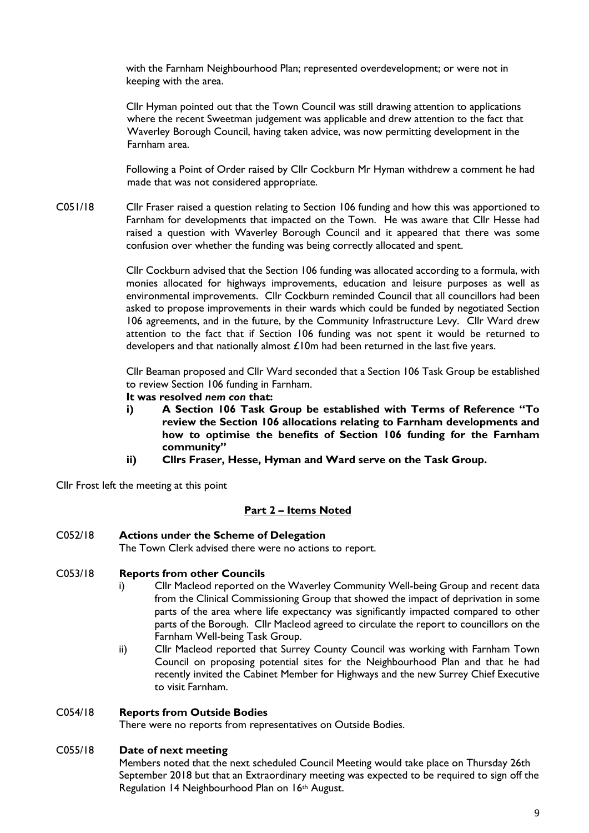with the Farnham Neighbourhood Plan; represented overdevelopment; or were not in keeping with the area.

Cllr Hyman pointed out that the Town Council was still drawing attention to applications where the recent Sweetman judgement was applicable and drew attention to the fact that Waverley Borough Council, having taken advice, was now permitting development in the Farnham area.

Following a Point of Order raised by Cllr Cockburn Mr Hyman withdrew a comment he had made that was not considered appropriate.

C051/18 Cllr Fraser raised a question relating to Section 106 funding and how this was apportioned to Farnham for developments that impacted on the Town. He was aware that Cllr Hesse had raised a question with Waverley Borough Council and it appeared that there was some confusion over whether the funding was being correctly allocated and spent.

> Cllr Cockburn advised that the Section 106 funding was allocated according to a formula, with monies allocated for highways improvements, education and leisure purposes as well as environmental improvements. Cllr Cockburn reminded Council that all councillors had been asked to propose improvements in their wards which could be funded by negotiated Section 106 agreements, and in the future, by the Community Infrastructure Levy. Cllr Ward drew attention to the fact that if Section 106 funding was not spent it would be returned to developers and that nationally almost £10m had been returned in the last five years.

> Cllr Beaman proposed and Cllr Ward seconded that a Section 106 Task Group be established to review Section 106 funding in Farnham.

- **It was resolved** *nem con* **that:**
- **i) A Section 106 Task Group be established with Terms of Reference "To review the Section 106 allocations relating to Farnham developments and how to optimise the benefits of Section 106 funding for the Farnham community"**
- **ii) Cllrs Fraser, Hesse, Hyman and Ward serve on the Task Group.**

Cllr Frost left the meeting at this point

# **Part 2 – Items Noted**

#### C052/18 **Actions under the Scheme of Delegation**

The Town Clerk advised there were no actions to report.

#### C053/18 **Reports from other Councils**

- i) Cllr Macleod reported on the Waverley Community Well-being Group and recent data from the Clinical Commissioning Group that showed the impact of deprivation in some parts of the area where life expectancy was significantly impacted compared to other parts of the Borough. Cllr Macleod agreed to circulate the report to councillors on the Farnham Well-being Task Group.
- ii) Cllr Macleod reported that Surrey County Council was working with Farnham Town Council on proposing potential sites for the Neighbourhood Plan and that he had recently invited the Cabinet Member for Highways and the new Surrey Chief Executive to visit Farnham.

#### C054/18 **Reports from Outside Bodies**

There were no reports from representatives on Outside Bodies.

#### C055/18 **Date of next meeting**

Members noted that the next scheduled Council Meeting would take place on Thursday 26th September 2018 but that an Extraordinary meeting was expected to be required to sign off the Regulation 14 Neighbourhood Plan on 16th August.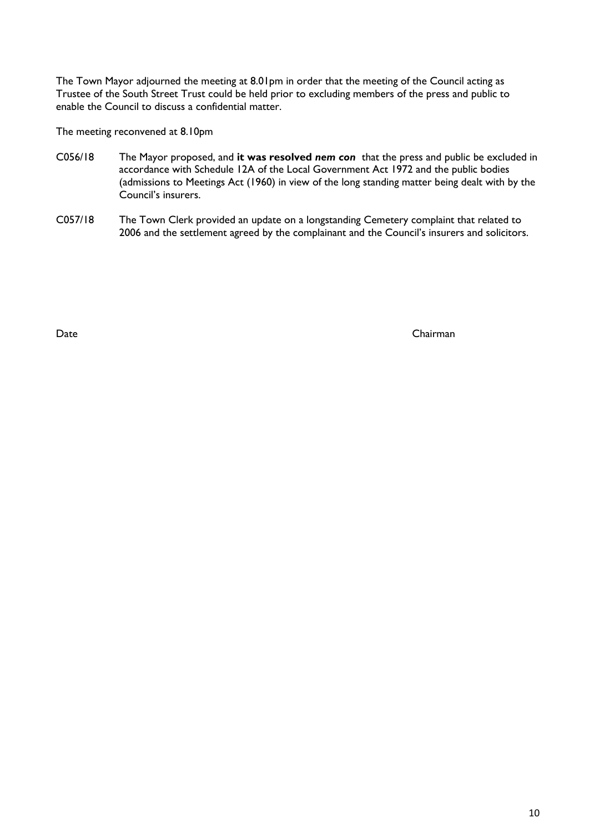The Town Mayor adjourned the meeting at 8.01pm in order that the meeting of the Council acting as Trustee of the South Street Trust could be held prior to excluding members of the press and public to enable the Council to discuss a confidential matter.

The meeting reconvened at 8.10pm

- C056/18 The Mayor proposed, and **it was resolved** *nem con* that the press and public be excluded in accordance with Schedule 12A of the Local Government Act 1972 and the public bodies (admissions to Meetings Act (1960) in view of the long standing matter being dealt with by the Council's insurers.
- C057/18 The Town Clerk provided an update on a longstanding Cemetery complaint that related to 2006 and the settlement agreed by the complainant and the Council's insurers and solicitors.

Date Chairman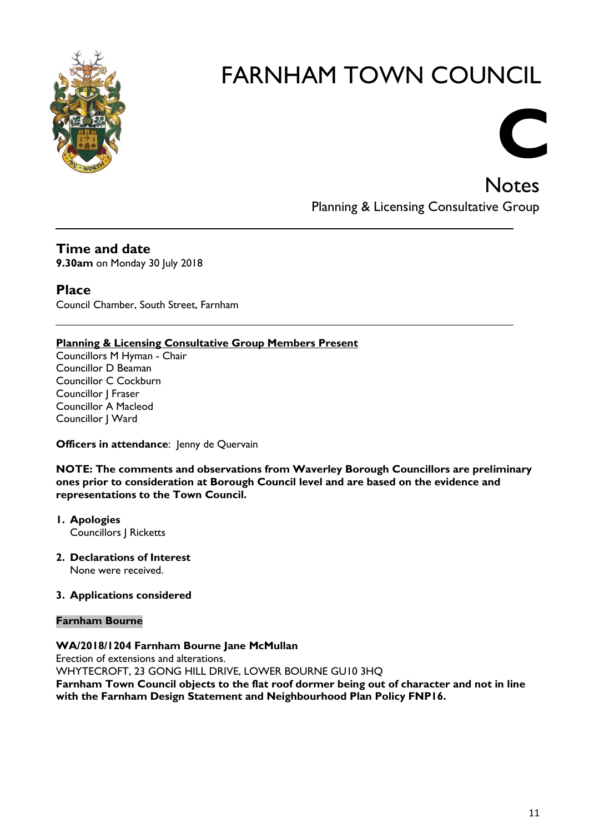

# Notes Planning & Licensing Consultative Group

**C** 

**Time and date**

**9.30am** on Monday 30 July 2018

# **Place**

Council Chamber, South Street, Farnham

# **Planning & Licensing Consultative Group Members Present**

Councillors M Hyman - Chair Councillor D Beaman Councillor C Cockburn Councillor J Fraser Councillor A Macleod Councillor J Ward

# **Officers in attendance:** Jenny de Quervain

**NOTE: The comments and observations from Waverley Borough Councillors are preliminary ones prior to consideration at Borough Council level and are based on the evidence and representations to the Town Council.**

- **1. Apologies** Councillors J Ricketts
- **2. Declarations of Interest** None were received.

# **3. Applications considered**

# **Farnham Bourne**

# **WA/2018/1204 Farnham Bourne Jane McMullan**

Erection of extensions and alterations. WHYTECROFT, 23 GONG HILL DRIVE, LOWER BOURNE GU10 3HQ **Farnham Town Council objects to the flat roof dormer being out of character and not in line with the Farnham Design Statement and Neighbourhood Plan Policy FNP16.**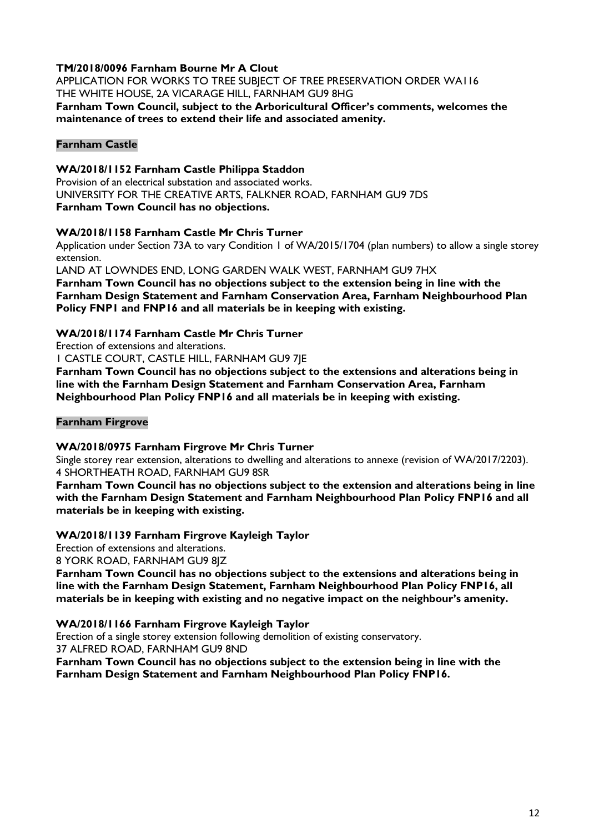# **TM/2018/0096 Farnham Bourne Mr A Clout**

APPLICATION FOR WORKS TO TREE SUBJECT OF TREE PRESERVATION ORDER WA116 THE WHITE HOUSE, 2A VICARAGE HILL, FARNHAM GU9 8HG **Farnham Town Council, subject to the Arboricultural Officer's comments, welcomes the** 

**maintenance of trees to extend their life and associated amenity.**

# **Farnham Castle**

# **WA/2018/1152 Farnham Castle Philippa Staddon**

Provision of an electrical substation and associated works. UNIVERSITY FOR THE CREATIVE ARTS, FALKNER ROAD, FARNHAM GU9 7DS **Farnham Town Council has no objections.**

# **WA/2018/1158 Farnham Castle Mr Chris Turner**

Application under Section 73A to vary Condition 1 of WA/2015/1704 (plan numbers) to allow a single storey extension.

LAND AT LOWNDES END, LONG GARDEN WALK WEST, FARNHAM GU9 7HX

**Farnham Town Council has no objections subject to the extension being in line with the Farnham Design Statement and Farnham Conservation Area, Farnham Neighbourhood Plan Policy FNP1 and FNP16 and all materials be in keeping with existing.**

# **WA/2018/1174 Farnham Castle Mr Chris Turner**

Erection of extensions and alterations.

1 CASTLE COURT, CASTLE HILL, FARNHAM GU9 7JE

**Farnham Town Council has no objections subject to the extensions and alterations being in line with the Farnham Design Statement and Farnham Conservation Area, Farnham Neighbourhood Plan Policy FNP16 and all materials be in keeping with existing.**

# **Farnham Firgrove**

# **WA/2018/0975 Farnham Firgrove Mr Chris Turner**

Single storey rear extension, alterations to dwelling and alterations to annexe (revision of WA/2017/2203). 4 SHORTHEATH ROAD, FARNHAM GU9 8SR

**Farnham Town Council has no objections subject to the extension and alterations being in line with the Farnham Design Statement and Farnham Neighbourhood Plan Policy FNP16 and all materials be in keeping with existing.**

# **WA/2018/1139 Farnham Firgrove Kayleigh Taylor**

Erection of extensions and alterations.

8 YORK ROAD, FARNHAM GU9 8JZ

**Farnham Town Council has no objections subject to the extensions and alterations being in line with the Farnham Design Statement, Farnham Neighbourhood Plan Policy FNP16, all materials be in keeping with existing and no negative impact on the neighbour's amenity.**

# **WA/2018/1166 Farnham Firgrove Kayleigh Taylor**

Erection of a single storey extension following demolition of existing conservatory. 37 ALFRED ROAD, FARNHAM GU9 8ND

**Farnham Town Council has no objections subject to the extension being in line with the Farnham Design Statement and Farnham Neighbourhood Plan Policy FNP16.**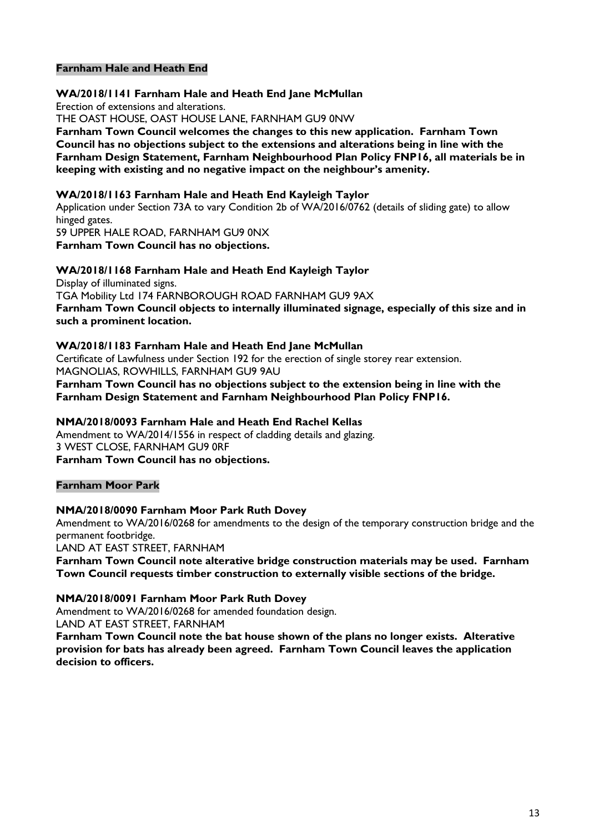## **Farnham Hale and Heath End**

#### **WA/2018/1141 Farnham Hale and Heath End Jane McMullan** Erection of extensions and alterations. THE OAST HOUSE, OAST HOUSE LANE, FARNHAM GU9 0NW **Farnham Town Council welcomes the changes to this new application. Farnham Town Council has no objections subject to the extensions and alterations being in line with the Farnham Design Statement, Farnham Neighbourhood Plan Policy FNP16, all materials be in keeping with existing and no negative impact on the neighbour's amenity.**

#### **WA/2018/1163 Farnham Hale and Heath End Kayleigh Taylor**

Application under Section 73A to vary Condition 2b of WA/2016/0762 (details of sliding gate) to allow hinged gates.

59 UPPER HALE ROAD, FARNHAM GU9 0NX **Farnham Town Council has no objections.**

#### **WA/2018/1168 Farnham Hale and Heath End Kayleigh Taylor**

Display of illuminated signs. TGA Mobility Ltd 174 FARNBOROUGH ROAD FARNHAM GU9 9AX **Farnham Town Council objects to internally illuminated signage, especially of this size and in such a prominent location.** 

#### **WA/2018/1183 Farnham Hale and Heath End Jane McMullan**

Certificate of Lawfulness under Section 192 for the erection of single storey rear extension. MAGNOLIAS, ROWHILLS, FARNHAM GU9 9AU

**Farnham Town Council has no objections subject to the extension being in line with the Farnham Design Statement and Farnham Neighbourhood Plan Policy FNP16.**

#### **NMA/2018/0093 Farnham Hale and Heath End Rachel Kellas**

Amendment to WA/2014/1556 in respect of cladding details and glazing. 3 WEST CLOSE, FARNHAM GU9 0RF **Farnham Town Council has no objections.**

#### **Farnham Moor Park**

#### **NMA/2018/0090 Farnham Moor Park Ruth Dovey**

Amendment to WA/2016/0268 for amendments to the design of the temporary construction bridge and the permanent footbridge.

LAND AT EAST STREET, FARNHAM

**Farnham Town Council note alterative bridge construction materials may be used. Farnham Town Council requests timber construction to externally visible sections of the bridge.**

#### **NMA/2018/0091 Farnham Moor Park Ruth Dovey**

Amendment to WA/2016/0268 for amended foundation design. LAND AT EAST STREET, FARNHAM

**Farnham Town Council note the bat house shown of the plans no longer exists. Alterative provision for bats has already been agreed. Farnham Town Council leaves the application decision to officers.**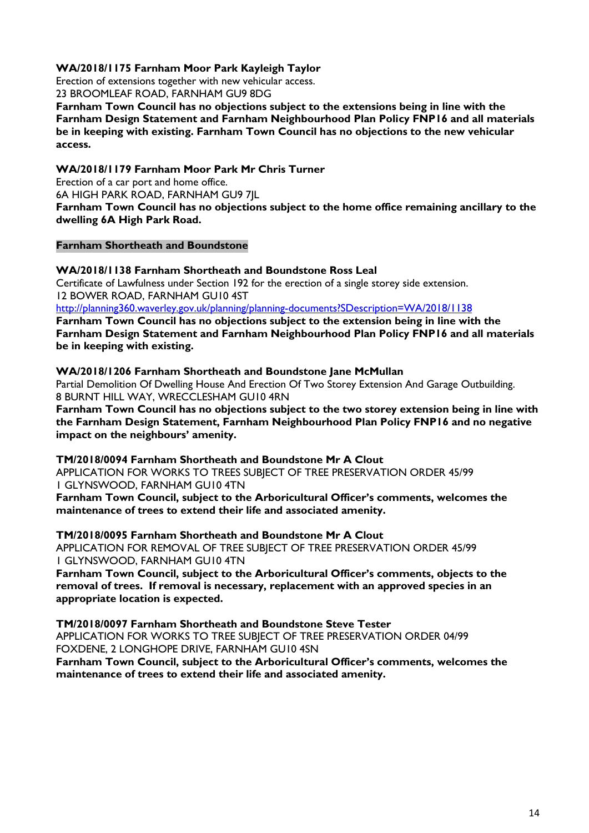# **WA/2018/1175 Farnham Moor Park Kayleigh Taylor**

Erection of extensions together with new vehicular access.

23 BROOMLEAF ROAD, FARNHAM GU9 8DG

**Farnham Town Council has no objections subject to the extensions being in line with the Farnham Design Statement and Farnham Neighbourhood Plan Policy FNP16 and all materials be in keeping with existing. Farnham Town Council has no objections to the new vehicular access.**

# **WA/2018/1179 Farnham Moor Park Mr Chris Turner**

Erection of a car port and home office.

6A HIGH PARK ROAD, FARNHAM GU9 7JL

**Farnham Town Council has no objections subject to the home office remaining ancillary to the dwelling 6A High Park Road.**

# **Farnham Shortheath and Boundstone**

#### **WA/2018/1138 Farnham Shortheath and Boundstone Ross Leal**

Certificate of Lawfulness under Section 192 for the erection of a single storey side extension. 12 BOWER ROAD, FARNHAM GU10 4ST

<http://planning360.waverley.gov.uk/planning/planning-documents?SDescription=WA/2018/1138>

**Farnham Town Council has no objections subject to the extension being in line with the Farnham Design Statement and Farnham Neighbourhood Plan Policy FNP16 and all materials be in keeping with existing.**

#### **WA/2018/1206 Farnham Shortheath and Boundstone Jane McMullan**

Partial Demolition Of Dwelling House And Erection Of Two Storey Extension And Garage Outbuilding. 8 BURNT HILL WAY, WRECCLESHAM GU10 4RN

**Farnham Town Council has no objections subject to the two storey extension being in line with the Farnham Design Statement, Farnham Neighbourhood Plan Policy FNP16 and no negative impact on the neighbours' amenity.**

**TM/2018/0094 Farnham Shortheath and Boundstone Mr A Clout** APPLICATION FOR WORKS TO TREES SUBJECT OF TREE PRESERVATION ORDER 45/99 1 GLYNSWOOD, FARNHAM GU10 4TN

**Farnham Town Council, subject to the Arboricultural Officer's comments, welcomes the maintenance of trees to extend their life and associated amenity.**

**TM/2018/0095 Farnham Shortheath and Boundstone Mr A Clout** APPLICATION FOR REMOVAL OF TREE SUBJECT OF TREE PRESERVATION ORDER 45/99 1 GLYNSWOOD, FARNHAM GU10 4TN

**Farnham Town Council, subject to the Arboricultural Officer's comments, objects to the removal of trees. If removal is necessary, replacement with an approved species in an appropriate location is expected.**

# **TM/2018/0097 Farnham Shortheath and Boundstone Steve Tester**

APPLICATION FOR WORKS TO TREE SUBJECT OF TREE PRESERVATION ORDER 04/99 FOXDENE, 2 LONGHOPE DRIVE, FARNHAM GU10 4SN

**Farnham Town Council, subject to the Arboricultural Officer's comments, welcomes the maintenance of trees to extend their life and associated amenity.**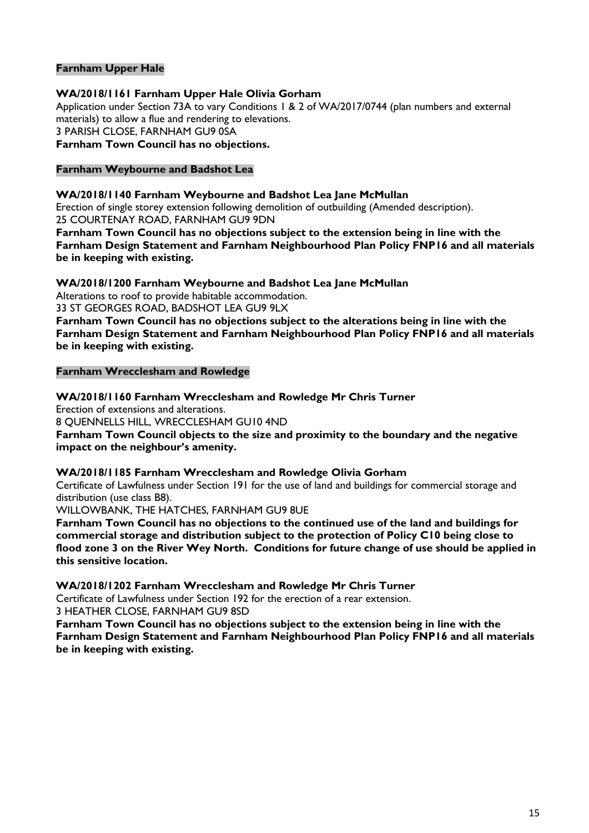# **Farnham Upper Hale**

**WA/2018/1161 Farnham Upper Hale Olivia Gorham** Application under Section 73A to vary Conditions 1 & 2 of WA/2017/0744 (plan numbers and external materials) to allow a flue and rendering to elevations. 3 PARISH CLOSE, FARNHAM GU9 0SA **Farnham Town Council has no objections.**

# **Farnham Weybourne and Badshot Lea**

**WA/2018/1140 Farnham Weybourne and Badshot Lea Jane McMullan**

Erection of single storey extension following demolition of outbuilding (Amended description). 25 COURTENAY ROAD, FARNHAM GU9 9DN

**Farnham Town Council has no objections subject to the extension being in line with the Farnham Design Statement and Farnham Neighbourhood Plan Policy FNP16 and all materials be in keeping with existing.**

**WA/2018/1200 Farnham Weybourne and Badshot Lea Jane McMullan**

Alterations to roof to provide habitable accommodation.

33 ST GEORGES ROAD, BADSHOT LEA GU9 9LX

**Farnham Town Council has no objections subject to the alterations being in line with the Farnham Design Statement and Farnham Neighbourhood Plan Policy FNP16 and all materials be in keeping with existing.**

#### **Farnham Wrecclesham and Rowledge**

**WA/2018/1160 Farnham Wrecclesham and Rowledge Mr Chris Turner**

Erection of extensions and alterations. 8 QUENNELLS HILL, WRECCLESHAM GU10 4ND **Farnham Town Council objects to the size and proximity to the boundary and the negative impact on the neighbour's amenity.**

#### **WA/2018/1185 Farnham Wrecclesham and Rowledge Olivia Gorham**

Certificate of Lawfulness under Section 191 for the use of land and buildings for commercial storage and distribution (use class B8).

WILLOWBANK, THE HATCHES, FARNHAM GU9 8UE

**Farnham Town Council has no objections to the continued use of the land and buildings for commercial storage and distribution subject to the protection of Policy C10 being close to flood zone 3 on the River Wey North. Conditions for future change of use should be applied in this sensitive location.**

**WA/2018/1202 Farnham Wrecclesham and Rowledge Mr Chris Turner**

Certificate of Lawfulness under Section 192 for the erection of a rear extension.

3 HEATHER CLOSE, FARNHAM GU9 8SD

**Farnham Town Council has no objections subject to the extension being in line with the Farnham Design Statement and Farnham Neighbourhood Plan Policy FNP16 and all materials be in keeping with existing.**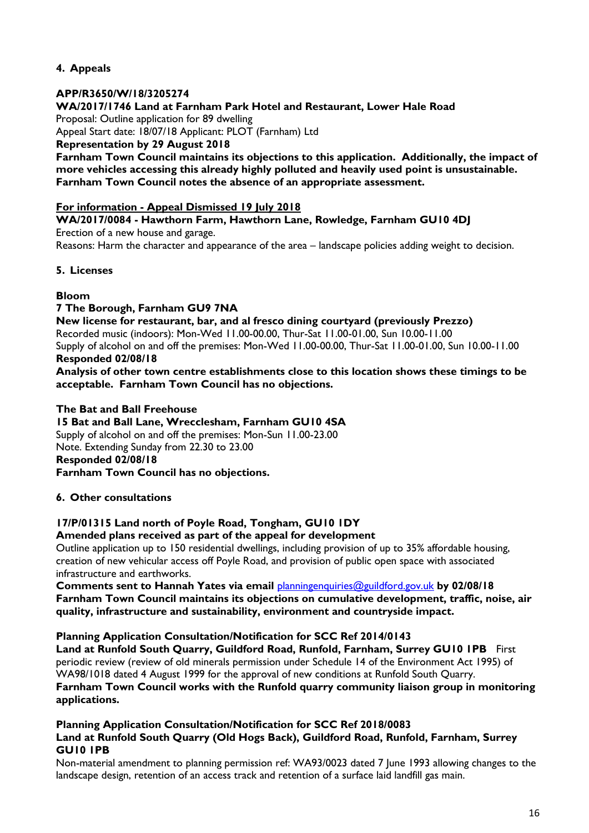# **4. Appeals**

# **APP/R3650/W/18/3205274**

**WA/2017/1746 Land at Farnham Park Hotel and Restaurant, Lower Hale Road**

Proposal: Outline application for 89 dwelling

Appeal Start date: 18/07/18 Applicant: PLOT (Farnham) Ltd

**Representation by 29 August 2018**

**Farnham Town Council maintains its objections to this application. Additionally, the impact of more vehicles accessing this already highly polluted and heavily used point is unsustainable. Farnham Town Council notes the absence of an appropriate assessment.**

## **For information - Appeal Dismissed 19 July 2018**

**WA/2017/0084 - Hawthorn Farm, Hawthorn Lane, Rowledge, Farnham GU10 4DJ** Erection of a new house and garage.

Reasons: Harm the character and appearance of the area – landscape policies adding weight to decision.

# **5. Licenses**

# **Bloom**

# **7 The Borough, Farnham GU9 7NA**

**New license for restaurant, bar, and al fresco dining courtyard (previously Prezzo)** Recorded music (indoors): Mon-Wed 11.00-00.00, Thur-Sat 11.00-01.00, Sun 10.00-11.00 Supply of alcohol on and off the premises: Mon-Wed 11.00-00.00, Thur-Sat 11.00-01.00, Sun 10.00-11.00 **Responded 02/08/18**

**Analysis of other town centre establishments close to this location shows these timings to be acceptable. Farnham Town Council has no objections.**

**The Bat and Ball Freehouse 15 Bat and Ball Lane, Wrecclesham, Farnham GU10 4SA** Supply of alcohol on and off the premises: Mon-Sun 11.00-23.00 Note. Extending Sunday from 22.30 to 23.00 **Responded 02/08/18 Farnham Town Council has no objections.**

# **6. Other consultations**

# **17/P/01315 Land north of Poyle Road, Tongham, GU10 1DY**

#### **Amended plans received as part of the appeal for development**

Outline application up to 150 residential dwellings, including provision of up to 35% affordable housing, creation of new vehicular access off Poyle Road, and provision of public open space with associated infrastructure and earthworks.

**Comments sent to Hannah Yates via email** [planningenquiries@guildford.gov.uk](mailto:planningenquiries@guildford.gov.uk) **by 02/08/18 Farnham Town Council maintains its objections on cumulative development, traffic, noise, air quality, infrastructure and sustainability, environment and countryside impact.**

#### **Planning Application Consultation/Notification for SCC Ref 2014/0143**

**Land at Runfold South Quarry, Guildford Road, Runfold, Farnham, Surrey GU10 1PB** First periodic review (review of old minerals permission under Schedule 14 of the Environment Act 1995) of WA98/1018 dated 4 August 1999 for the approval of new conditions at Runfold South Quarry. **Farnham Town Council works with the Runfold quarry community liaison group in monitoring applications.**

## **Planning Application Consultation/Notification for SCC Ref 2018/0083 Land at Runfold South Quarry (Old Hogs Back), Guildford Road, Runfold, Farnham, Surrey GU10 1PB**

Non-material amendment to planning permission ref: WA93/0023 dated 7 June 1993 allowing changes to the landscape design, retention of an access track and retention of a surface laid landfill gas main.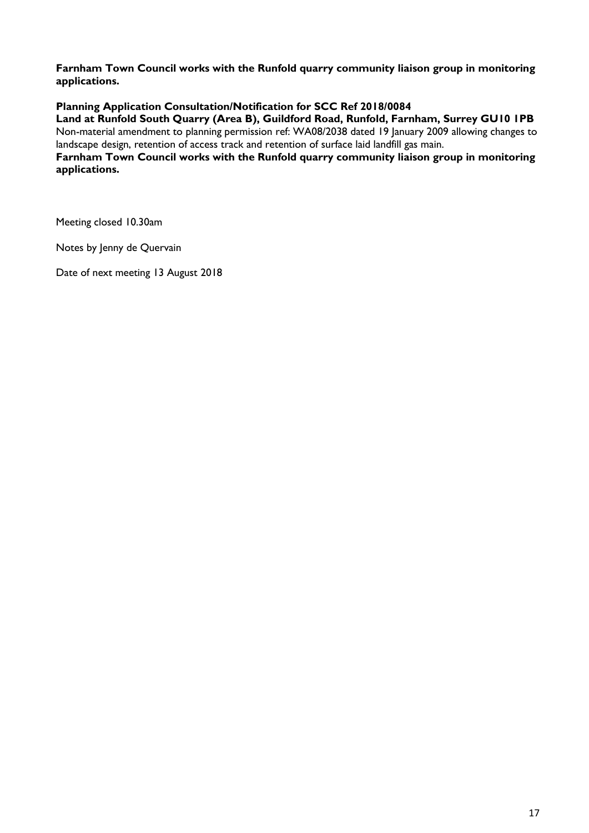**Farnham Town Council works with the Runfold quarry community liaison group in monitoring applications.**

# **Planning Application Consultation/Notification for SCC Ref 2018/0084**

**Land at Runfold South Quarry (Area B), Guildford Road, Runfold, Farnham, Surrey GU10 1PB** Non-material amendment to planning permission ref: WA08/2038 dated 19 January 2009 allowing changes to landscape design, retention of access track and retention of surface laid landfill gas main.

**Farnham Town Council works with the Runfold quarry community liaison group in monitoring applications.**

Meeting closed 10.30am

Notes by Jenny de Quervain

Date of next meeting 13 August 2018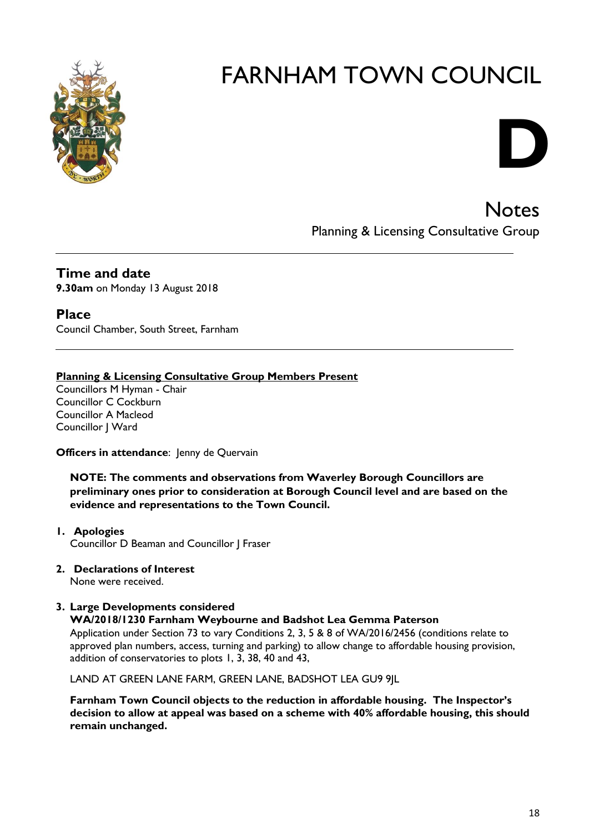

# **D**

**Notes** Planning & Licensing Consultative Group

# **Time and date 9.30am** on Monday 13 August 2018

# **Place**

Council Chamber, South Street, Farnham

# **Planning & Licensing Consultative Group Members Present**

Councillors M Hyman - Chair Councillor C Cockburn Councillor A Macleod Councillor | Ward

# **Officers in attendance:** Jenny de Quervain

**NOTE: The comments and observations from Waverley Borough Councillors are preliminary ones prior to consideration at Borough Council level and are based on the evidence and representations to the Town Council.**

# **1. Apologies** Councillor D Beaman and Councillor J Fraser

# **2. Declarations of Interest**

None were received.

# **3. Large Developments considered**

# **WA/2018/1230 Farnham Weybourne and Badshot Lea Gemma Paterson**

Application under Section 73 to vary Conditions 2, 3, 5 & 8 of WA/2016/2456 (conditions relate to approved plan numbers, access, turning and parking) to allow change to affordable housing provision, addition of conservatories to plots 1, 3, 38, 40 and 43,

LAND AT GREEN LANE FARM, GREEN LANE, BADSHOT LEA GU9 9JL

**Farnham Town Council objects to the reduction in affordable housing. The Inspector's decision to allow at appeal was based on a scheme with 40% affordable housing, this should remain unchanged.**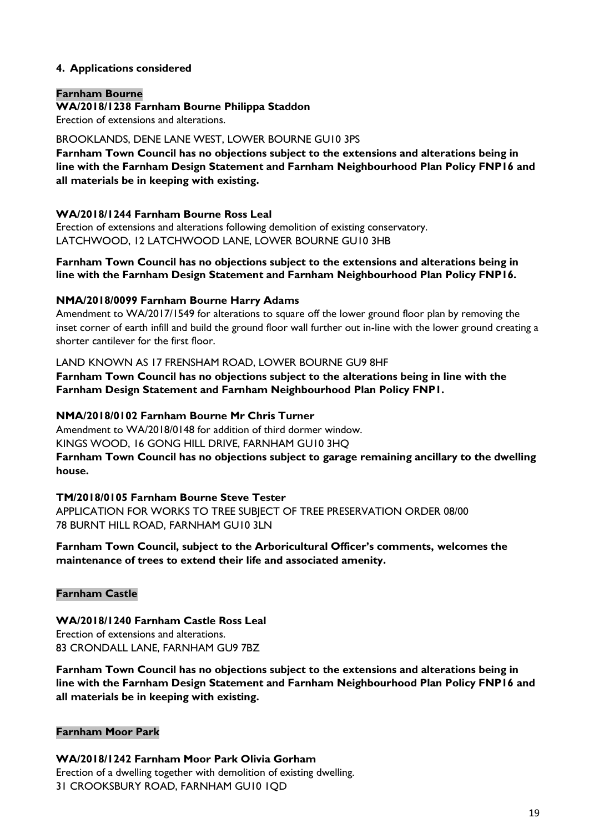# **4. Applications considered**

#### **Farnham Bourne**

#### **WA/2018/1238 Farnham Bourne Philippa Staddon**

Erection of extensions and alterations.

# BROOKLANDS, DENE LANE WEST, LOWER BOURNE GU10 3PS

**Farnham Town Council has no objections subject to the extensions and alterations being in line with the Farnham Design Statement and Farnham Neighbourhood Plan Policy FNP16 and all materials be in keeping with existing.**

# **WA/2018/1244 Farnham Bourne Ross Leal**

Erection of extensions and alterations following demolition of existing conservatory. LATCHWOOD, 12 LATCHWOOD LANE, LOWER BOURNE GU10 3HB

#### **Farnham Town Council has no objections subject to the extensions and alterations being in line with the Farnham Design Statement and Farnham Neighbourhood Plan Policy FNP16.**

# **NMA/2018/0099 Farnham Bourne Harry Adams**

Amendment to WA/2017/1549 for alterations to square off the lower ground floor plan by removing the inset corner of earth infill and build the ground floor wall further out in-line with the lower ground creating a shorter cantilever for the first floor.

#### LAND KNOWN AS 17 FRENSHAM ROAD, LOWER BOURNE GU9 8HF

**Farnham Town Council has no objections subject to the alterations being in line with the Farnham Design Statement and Farnham Neighbourhood Plan Policy FNP1.**

#### **NMA/2018/0102 Farnham Bourne Mr Chris Turner**

Amendment to WA/2018/0148 for addition of third dormer window. KINGS WOOD, 16 GONG HILL DRIVE, FARNHAM GU10 3HQ **Farnham Town Council has no objections subject to garage remaining ancillary to the dwelling house.**

# **TM/2018/0105 Farnham Bourne Steve Tester**

APPLICATION FOR WORKS TO TREE SUBJECT OF TREE PRESERVATION ORDER 08/00 78 BURNT HILL ROAD, FARNHAM GU10 3LN

# **Farnham Town Council, subject to the Arboricultural Officer's comments, welcomes the maintenance of trees to extend their life and associated amenity.**

# **Farnham Castle**

#### **WA/2018/1240 Farnham Castle Ross Leal** Erection of extensions and alterations. 83 CRONDALL LANE, FARNHAM GU9 7BZ

**Farnham Town Council has no objections subject to the extensions and alterations being in line with the Farnham Design Statement and Farnham Neighbourhood Plan Policy FNP16 and all materials be in keeping with existing.**

# **Farnham Moor Park**

**WA/2018/1242 Farnham Moor Park Olivia Gorham** Erection of a dwelling together with demolition of existing dwelling. 31 CROOKSBURY ROAD, FARNHAM GU10 1QD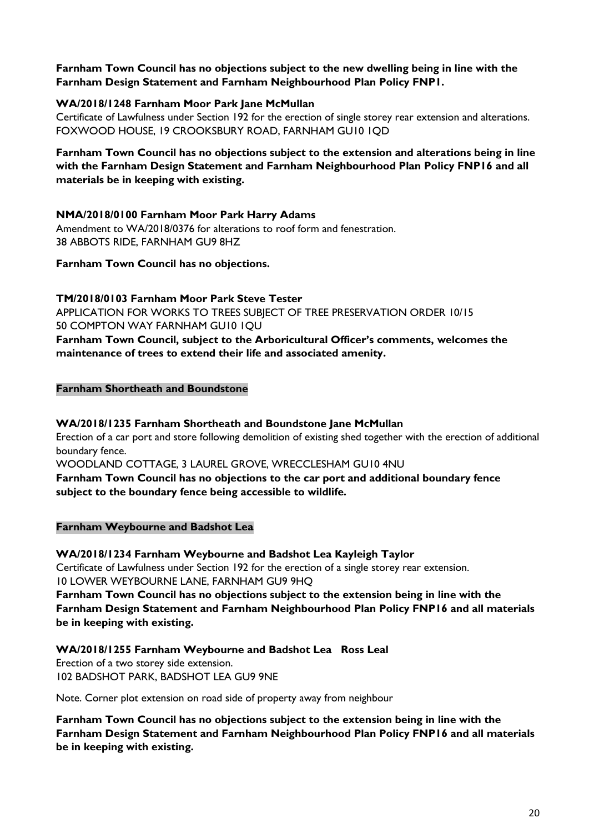# **Farnham Town Council has no objections subject to the new dwelling being in line with the Farnham Design Statement and Farnham Neighbourhood Plan Policy FNP1.**

# **WA/2018/1248 Farnham Moor Park Jane McMullan**

Certificate of Lawfulness under Section 192 for the erection of single storey rear extension and alterations. FOXWOOD HOUSE, 19 CROOKSBURY ROAD, FARNHAM GU10 1QD

**Farnham Town Council has no objections subject to the extension and alterations being in line with the Farnham Design Statement and Farnham Neighbourhood Plan Policy FNP16 and all materials be in keeping with existing.**

# **NMA/2018/0100 Farnham Moor Park Harry Adams**

Amendment to WA/2018/0376 for alterations to roof form and fenestration. 38 ABBOTS RIDE, FARNHAM GU9 8HZ

#### **Farnham Town Council has no objections.**

**TM/2018/0103 Farnham Moor Park Steve Tester** APPLICATION FOR WORKS TO TREES SUBJECT OF TREE PRESERVATION ORDER 10/15 50 COMPTON WAY FARNHAM GU10 1QU **Farnham Town Council, subject to the Arboricultural Officer's comments, welcomes the maintenance of trees to extend their life and associated amenity.**

#### **Farnham Shortheath and Boundstone**

# **WA/2018/1235 Farnham Shortheath and Boundstone Jane McMullan**

Erection of a car port and store following demolition of existing shed together with the erection of additional boundary fence.

WOODLAND COTTAGE, 3 LAUREL GROVE, WRECCLESHAM GU10 4NU

**Farnham Town Council has no objections to the car port and additional boundary fence subject to the boundary fence being accessible to wildlife.**

#### **Farnham Weybourne and Badshot Lea**

**WA/2018/1234 Farnham Weybourne and Badshot Lea Kayleigh Taylor**

Certificate of Lawfulness under Section 192 for the erection of a single storey rear extension. 10 LOWER WEYBOURNE LANE, FARNHAM GU9 9HQ

**Farnham Town Council has no objections subject to the extension being in line with the Farnham Design Statement and Farnham Neighbourhood Plan Policy FNP16 and all materials be in keeping with existing.**

# **WA/2018/1255 Farnham Weybourne and Badshot Lea Ross Leal**

Erection of a two storey side extension. 102 BADSHOT PARK, BADSHOT LEA GU9 9NE

Note. Corner plot extension on road side of property away from neighbour

**Farnham Town Council has no objections subject to the extension being in line with the Farnham Design Statement and Farnham Neighbourhood Plan Policy FNP16 and all materials be in keeping with existing.**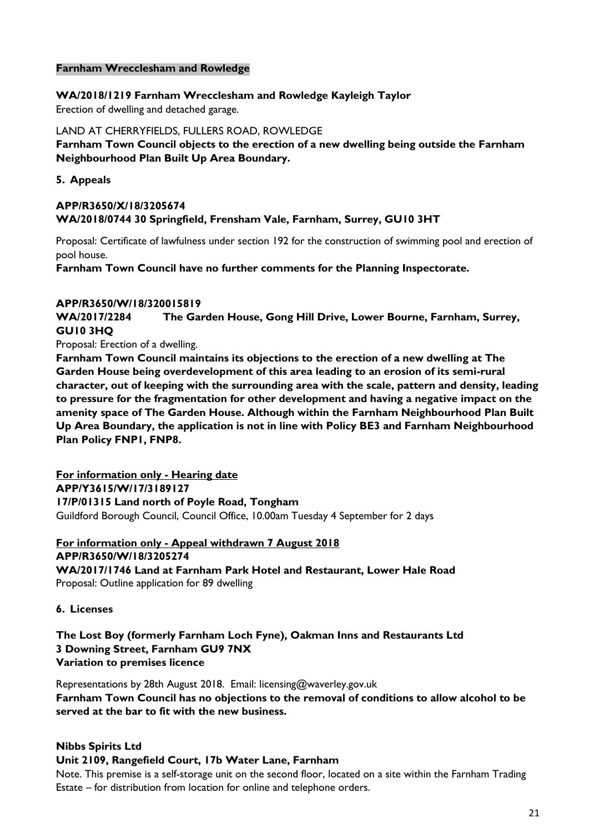## **Farnham Wrecclesham and Rowledge**

**WA/2018/1219 Farnham Wrecclesham and Rowledge Kayleigh Taylor**

Erection of dwelling and detached garage.

LAND AT CHERRYFIELDS, FULLERS ROAD, ROWLEDGE

**Farnham Town Council objects to the erection of a new dwelling being outside the Farnham Neighbourhood Plan Built Up Area Boundary.**

**5. Appeals**

# **APP/R3650/X/18/3205674 WA/2018/0744 30 Springfield, Frensham Vale, Farnham, Surrey, GU10 3HT**

Proposal: Certificate of lawfulness under section 192 for the construction of swimming pool and erection of pool house.

**Farnham Town Council have no further comments for the Planning Inspectorate.**

#### **APP/R3650/W/18/320015819**

**WA/2017/2284 The Garden House, Gong Hill Drive, Lower Bourne, Farnham, Surrey, GU10 3HQ**

Proposal: Erection of a dwelling.

**Farnham Town Council maintains its objections to the erection of a new dwelling at The Garden House being overdevelopment of this area leading to an erosion of its semi-rural character, out of keeping with the surrounding area with the scale, pattern and density, leading to pressure for the fragmentation for other development and having a negative impact on the amenity space of The Garden House. Although within the Farnham Neighbourhood Plan Built Up Area Boundary, the application is not in line with Policy BE3 and Farnham Neighbourhood Plan Policy FNP1, FNP8.** 

**For information only - Hearing date APP/Y3615/W/17/3189127 17/P/01315 Land north of Poyle Road, Tongham**  Guildford Borough Council, Council Office, 10.00am Tuesday 4 September for 2 days

#### **For information only - Appeal withdrawn 7 August 2018 APP/R3650/W/18/3205274**

**WA/2017/1746 Land at Farnham Park Hotel and Restaurant, Lower Hale Road** Proposal: Outline application for 89 dwelling

# **6. Licenses**

**The Lost Boy (formerly Farnham Loch Fyne), Oakman Inns and Restaurants Ltd 3 Downing Street, Farnham GU9 7NX Variation to premises licence**

Representations by 28th August 2018. Email: [licensing@waverley.gov.uk](mailto:licensing@waverley.gov.uk) **Farnham Town Council has no objections to the removal of conditions to allow alcohol to be served at the bar to fit with the new business.**

# **Nibbs Spirits Ltd**

# **Unit 2109, Rangefield Court, 17b Water Lane, Farnham**

Note. This premise is a self-storage unit on the second floor, located on a site within the Farnham Trading Estate – for distribution from location for online and telephone orders.